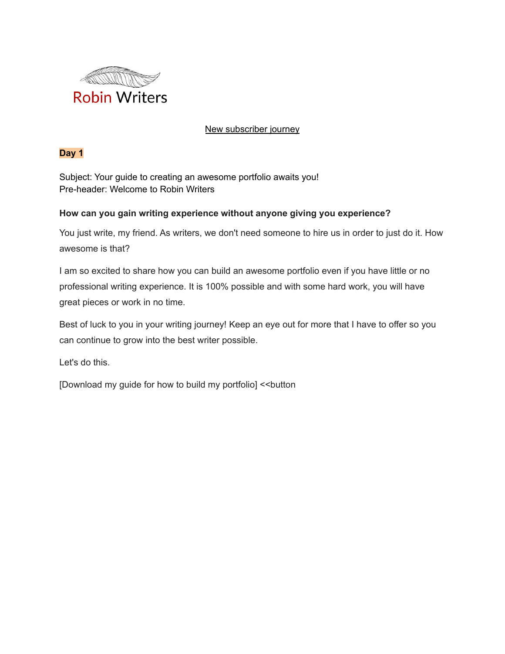

### New subscriber journey

## **Day 1**

Subject: Your guide to creating an awesome portfolio awaits you! Pre-header: Welcome to Robin Writers

## **How can you gain writing experience without anyone giving you experience?**

You just write, my friend. As writers, we don't need someone to hire us in order to just do it. How awesome is that?

I am so excited to share how you can build an awesome portfolio even if you have little or no professional writing experience. It is 100% possible and with some hard work, you will have great pieces or work in no time.

Best of luck to you in your writing journey! Keep an eye out for more that I have to offer so you can continue to grow into the best writer possible.

Let's do this.

[Download my guide for how to build my portfolio] << button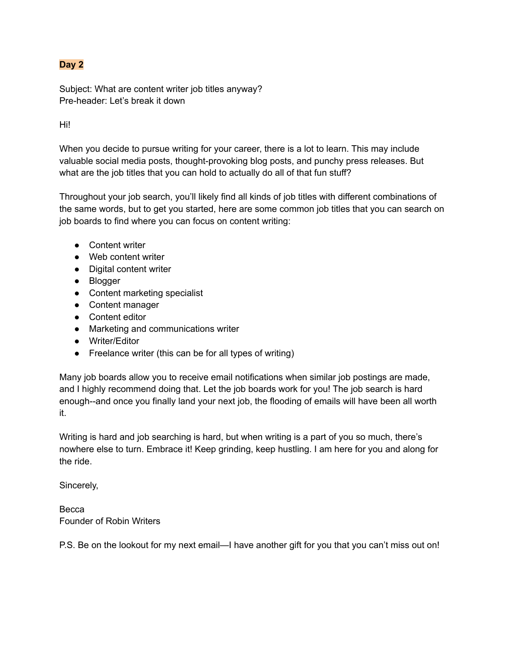# **Day 2**

Subject: What are content writer job titles anyway? Pre-header: Let's break it down

Hi!

When you decide to pursue writing for your career, there is a lot to learn. This may include valuable social media posts, thought-provoking blog posts, and punchy press releases. But what are the job titles that you can hold to actually do all of that fun stuff?

Throughout your job search, you'll likely find all kinds of job titles with different combinations of the same words, but to get you started, here are some common job titles that you can search on job boards to find where you can focus on content writing:

- Content writer
- Web content writer
- Digital content writer
- Blogger
- Content marketing specialist
- Content manager
- Content editor
- Marketing and communications writer
- Writer/Editor
- Freelance writer (this can be for all types of writing)

Many job boards allow you to receive email notifications when similar job postings are made, and I highly recommend doing that. Let the job boards work for you! The job search is hard enough--and once you finally land your next job, the flooding of emails will have been all worth it.

Writing is hard and job searching is hard, but when writing is a part of you so much, there's nowhere else to turn. Embrace it! Keep grinding, keep hustling. I am here for you and along for the ride.

Sincerely,

Becca Founder of Robin Writers

P.S. Be on the lookout for my next email—I have another gift for you that you can't miss out on!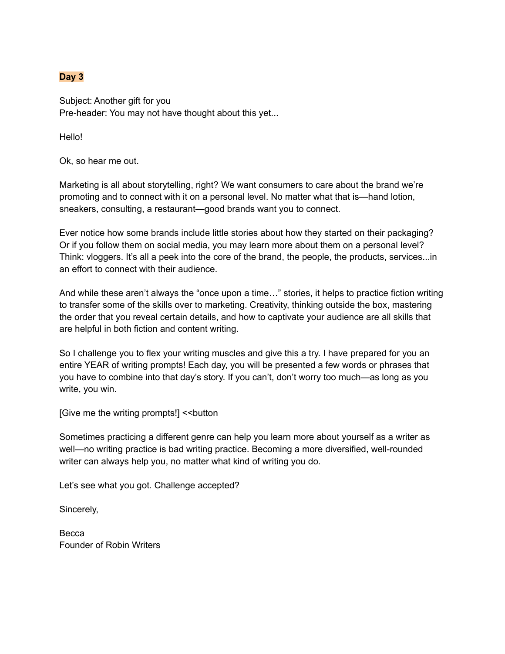### **Day 3**

Subject: Another gift for you Pre-header: You may not have thought about this yet...

Hello!

Ok, so hear me out.

Marketing is all about storytelling, right? We want consumers to care about the brand we're promoting and to connect with it on a personal level. No matter what that is—hand lotion, sneakers, consulting, a restaurant—good brands want you to connect.

Ever notice how some brands include little stories about how they started on their packaging? Or if you follow them on social media, you may learn more about them on a personal level? Think: vloggers. It's all a peek into the core of the brand, the people, the products, services...in an effort to connect with their audience.

And while these aren't always the "once upon a time…" stories, it helps to practice fiction writing to transfer some of the skills over to marketing. Creativity, thinking outside the box, mastering the order that you reveal certain details, and how to captivate your audience are all skills that are helpful in both fiction and content writing.

So I challenge you to flex your writing muscles and give this a try. I have prepared for you an entire YEAR of writing prompts! Each day, you will be presented a few words or phrases that you have to combine into that day's story. If you can't, don't worry too much—as long as you write, you win.

[Give me the writing prompts!] << button

Sometimes practicing a different genre can help you learn more about yourself as a writer as well—no writing practice is bad writing practice. Becoming a more diversified, well-rounded writer can always help you, no matter what kind of writing you do.

Let's see what you got. Challenge accepted?

Sincerely,

**Becca** Founder of Robin Writers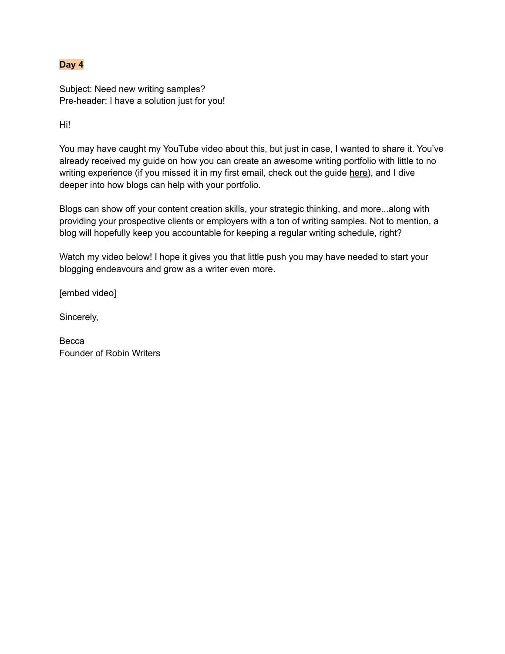## **Day 4**

Subject: Need new writing samples? Pre-header: I have a solution just for you!

Hi!

You may have caught my YouTube video about this, but just in case, I wanted to share it. You've already received my guide on how you can create an awesome writing portfolio with little to no writing experience (if you missed it in my first email, check out the guide here), and I dive deeper into how blogs can help with your portfolio.

Blogs can show off your content creation skills, your strategic thinking, and more...along with providing your prospective clients or employers with a ton of writing samples. Not to mention, a blog will hopefully keep you accountable for keeping a regular writing schedule, right?

Watch my video below! I hope it gives you that little push you may have needed to start your blogging endeavours and grow as a writer even more.

[embed video]

Sincerely,

**Becca** Founder of Robin Writers